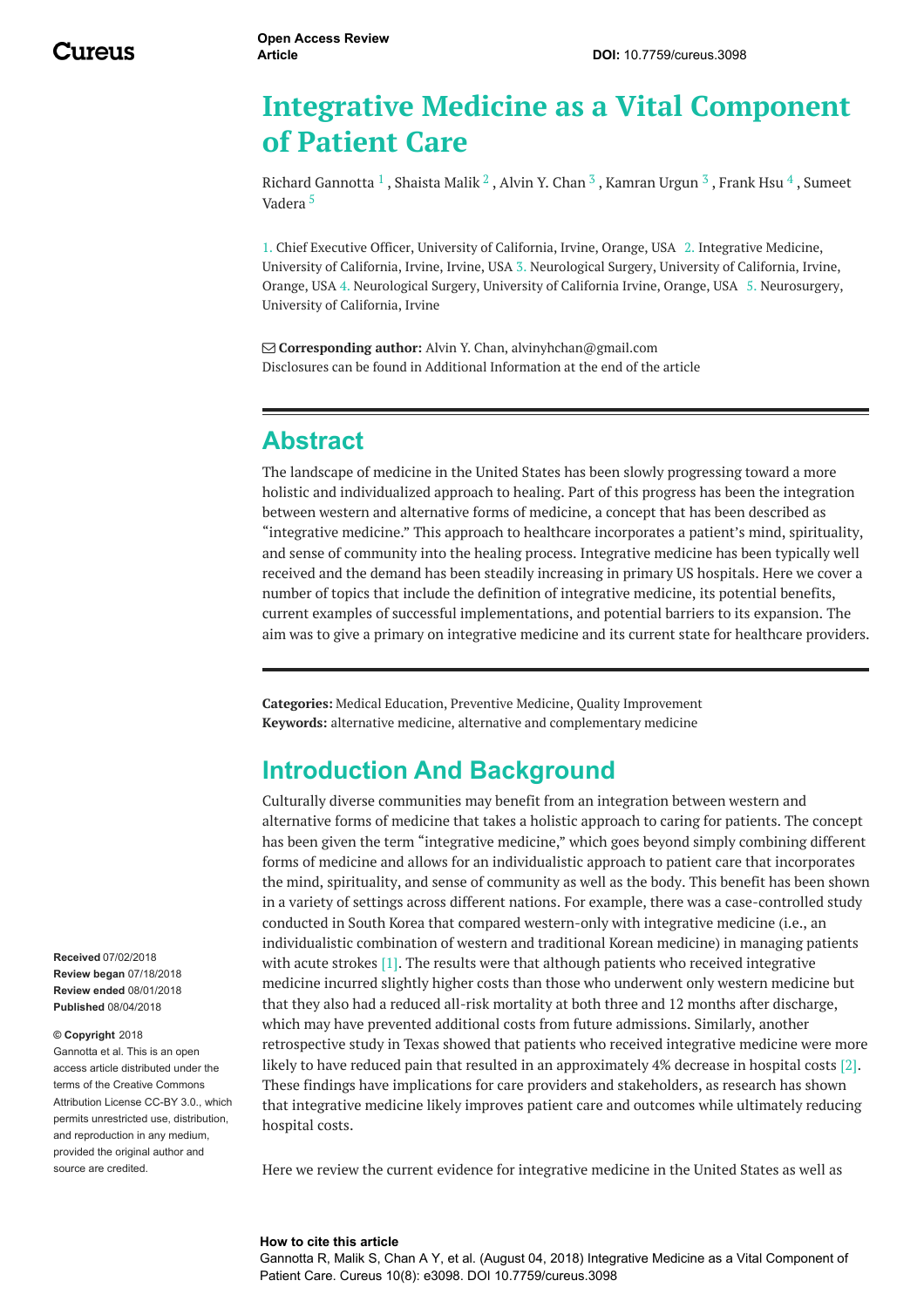# **Integrative Medicine as a Vital Component of Patient Care**

Richard [Gannotta](https://www.cureus.com/users/34033-sumeet-vadera)  $^1$  , [Shaista](https://www.cureus.com/users/102260-shaista-malik) Malik  $^2$  , [Alvin](https://www.cureus.com/users/32248-alvin-y-chan) Y. Chan  $^3$  , [Kamran](https://www.cureus.com/users/102261-kamran-urgun) Urgun  $^3$  , [Frank](https://www.cureus.com/users/46433-frank-hsu) Hsu  $^4$  , Sumeet Vadera 5

1. Chief Executive Officer, University of California, Irvine, Orange, USA 2. Integrative Medicine, University of California, Irvine, Irvine, USA 3. Neurological Surgery, University of California, Irvine, Orange, USA 4. Neurological Surgery, University of California Irvine, Orange, USA 5. Neurosurgery, University of California, Irvine

 **Corresponding author:** Alvin Y. Chan, alvinyhchan@gmail.com Disclosures can be found in Additional Information at the end of the article

# **Abstract**

The landscape of medicine in the United States has been slowly progressing toward a more holistic and individualized approach to healing. Part of this progress has been the integration between western and alternative forms of medicine, a concept that has been described as "integrative medicine." This approach to healthcare incorporates a patient's mind, spirituality, and sense of community into the healing process. Integrative medicine has been typically well received and the demand has been steadily increasing in primary US hospitals. Here we cover a number of topics that include the definition of integrative medicine, its potential benefits, current examples of successful implementations, and potential barriers to its expansion. The aim was to give a primary on integrative medicine and its current state for healthcare providers.

**Categories:** Medical Education, Preventive Medicine, Quality Improvement **Keywords:** alternative medicine, alternative and complementary medicine

# **Introduction And Background**

Culturally diverse communities may benefit from an integration between western and alternative forms of medicine that takes a holistic approach to caring for patients. The concept has been given the term "integrative medicine," which goes beyond simply combining different forms of medicine and allows for an individualistic approach to patient care that incorporates the mind, spirituality, and sense of community as well as the body. This benefit has been shown in a variety of settings across different nations. For example, there was a case-controlled study conducted in South Korea that compared western-only with integrative medicine (i.e., an individualistic combination of western and traditional Korean medicine) in managing patients with acute strokes  $[1]$ . The results were that although patients who received integrative medicine incurred slightly higher costs than those who underwent only western medicine but that they also had a reduced all-risk mortality at both three and 12 months after discharge, which may have prevented additional costs from future admissions. Similarly, another retrospective study in Texas showed that patients who received integrative medicine were more likely to have reduced pain that resulted in an approximately  $4\%$  decrease in hospital costs [2]. These findings have implications for care providers and stakeholders, as research has shown that integrative medicine likely improves patient care and outcomes while ultimately reducing hospital costs.

Here we review the current evidence for integrative medicine in the United States as well as

#### **How to cite this article**

Gannotta R, Malik S, Chan A Y, et al. (August 04, 2018) Integrative Medicine as a Vital Component of Patient Care. Cureus 10(8): e3098. DOI 10.7759/cureus.3098

**Received** 07/02/2018 **Review began** 07/18/2018 **Review ended** 08/01/2018 **Published** 08/04/2018

#### **© Copyright** 2018

Gannotta et al. This is an open access article distributed under the terms of the Creative Commons Attribution License CC-BY 3.0., which permits unrestricted use, distribution, and reproduction in any medium, provided the original author and source are credited.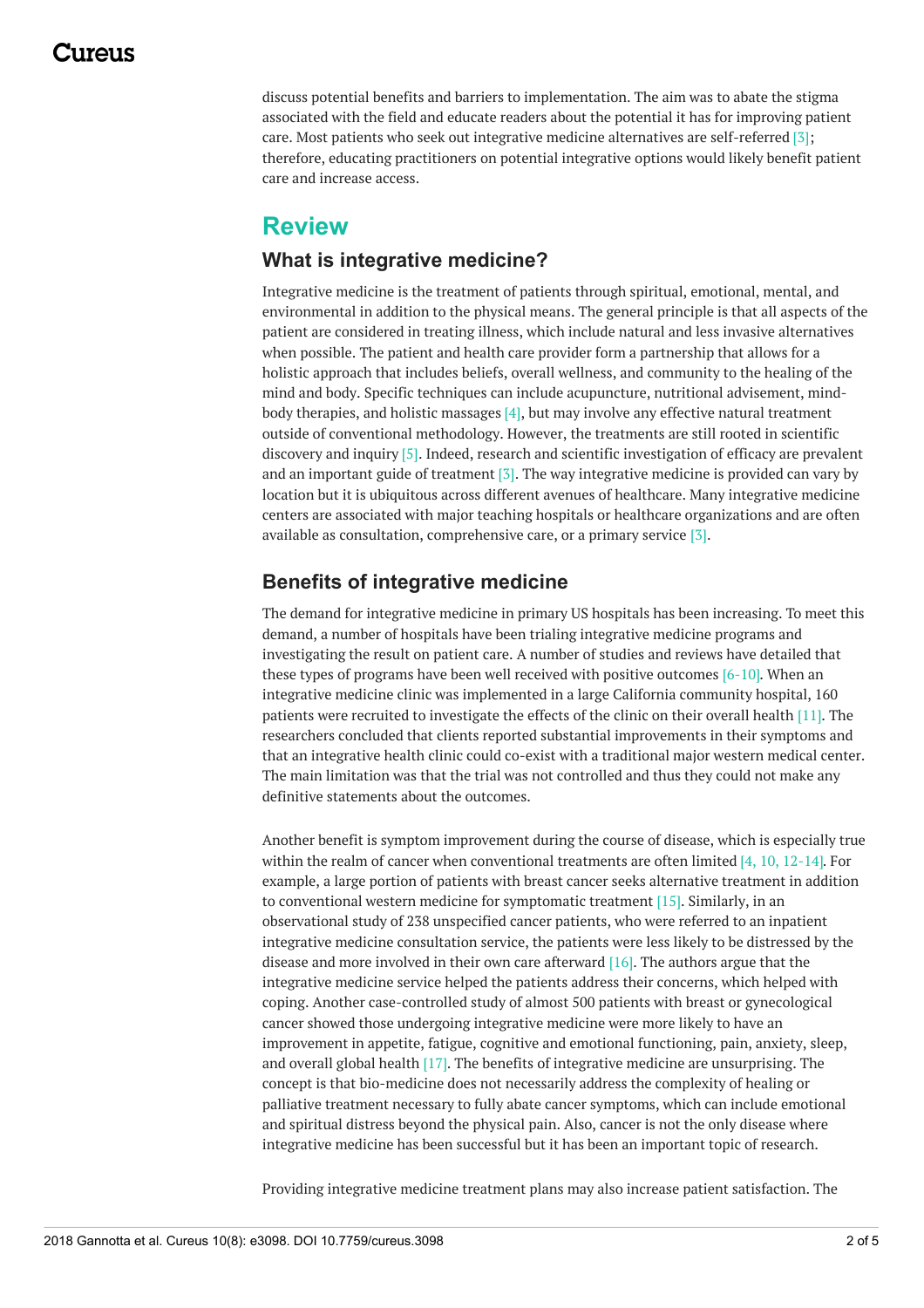discuss potential benefits and barriers to implementation. The aim was to abate the stigma associated with the field and educate readers about the potential it has for improving patient care. Most patients who seek out integrative medicine alternatives are self-referred [3]; therefore, educating practitioners on potential integrative options would likely benefit patient care and increase access.

### **Review**

#### **What is integrative medicine?**

Integrative medicine is the treatment of patients through spiritual, emotional, mental, and environmental in addition to the physical means. The general principle is that all aspects of the patient are considered in treating illness, which include natural and less invasive alternatives when possible. The patient and health care provider form a partnership that allows for a holistic approach that includes beliefs, overall wellness, and community to the healing of the mind and body. Specific techniques can include acupuncture, nutritional advisement, mindbody therapies, and holistic massages  $[4]$ , but may involve any effective natural treatment outside of conventional methodology. However, the treatments are still rooted in scientific discovery and inquiry [5]. Indeed, research and scientific investigation of efficacy are prevalent and an important guide of treatment  $[3]$ . The way integrative medicine is provided can vary by location but it is ubiquitous across different avenues of healthcare. Many integrative medicine centers are associated with major teaching hospitals or healthcare organizations and are often available as consultation, comprehensive care, or a primary service [3].

#### **Benefits of integrative medicine**

The demand for integrative medicine in primary US hospitals has been increasing. To meet this demand, a number of hospitals have been trialing integrative medicine programs and investigating the result on patient care. A number of studies and reviews have detailed that these types of programs have been well received with positive outcomes [6-10]. When an integrative medicine clinic was implemented in a large California community hospital, 160 patients were recruited to investigate the effects of the clinic on their overall health [11]. The researchers concluded that clients reported substantial improvements in their symptoms and that an integrative health clinic could co-exist with a traditional major western medical center. The main limitation was that the trial was not controlled and thus they could not make any definitive statements about the outcomes.

Another benefit is symptom improvement during the course of disease, which is especially true within the realm of cancer when conventional treatments are often limited  $[4, 10, 12-14]$ . For example, a large portion of patients with breast cancer seeks alternative treatment in addition to conventional western medicine for symptomatic treatment [15]. Similarly, in an observational study of 238 unspecified cancer patients, who were referred to an inpatient integrative medicine consultation service, the patients were less likely to be distressed by the disease and more involved in their own care afterward [16]. The authors argue that the integrative medicine service helped the patients address their concerns, which helped with coping. Another case-controlled study of almost 500 patients with breast or gynecological cancer showed those undergoing integrative medicine were more likely to have an improvement in appetite, fatigue, cognitive and emotional functioning, pain, anxiety, sleep, and overall global health [17]. The benefits of integrative medicine are unsurprising. The concept is that bio-medicine does not necessarily address the complexity of healing or palliative treatment necessary to fully abate cancer symptoms, which can include emotional and spiritual distress beyond the physical pain. Also, cancer is not the only disease where integrative medicine has been successful but it has been an important topic of research.

Providing integrative medicine treatment plans may also increase patient satisfaction. The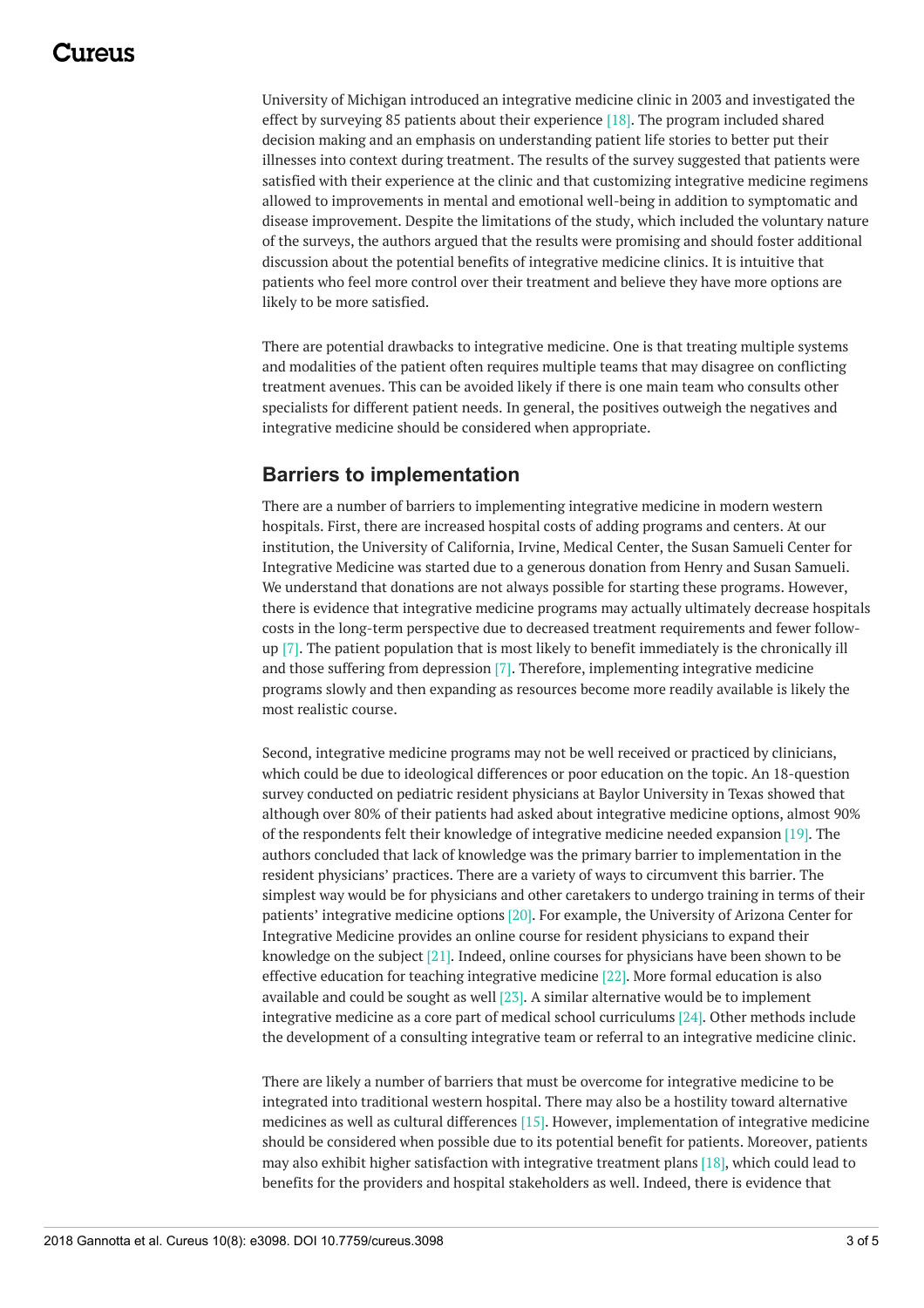# 117411C

University of Michigan introduced an integrative medicine clinic in 2003 and investigated the effect by surveying 85 patients about their experience  $[18]$ . The program included shared decision making and an emphasis on understanding patient life stories to better put their illnesses into context during treatment. The results of the survey suggested that patients were satisfied with their experience at the clinic and that customizing integrative medicine regimens allowed to improvements in mental and emotional well-being in addition to symptomatic and disease improvement. Despite the limitations of the study, which included the voluntary nature of the surveys, the authors argued that the results were promising and should foster additional discussion about the potential benefits of integrative medicine clinics. It is intuitive that patients who feel more control over their treatment and believe they have more options are likely to be more satisfied.

There are potential drawbacks to integrative medicine. One is that treating multiple systems and modalities of the patient often requires multiple teams that may disagree on conflicting treatment avenues. This can be avoided likely if there is one main team who consults other specialists for different patient needs. In general, the positives outweigh the negatives and integrative medicine should be considered when appropriate.

#### **Barriers to implementation**

There are a number of barriers to implementing integrative medicine in modern western hospitals. First, there are increased hospital costs of adding programs and centers. At our institution, the University of California, Irvine, Medical Center, the Susan Samueli Center for Integrative Medicine was started due to a generous donation from Henry and Susan Samueli. We understand that donations are not always possible for starting these programs. However, there is evidence that integrative medicine programs may actually ultimately decrease hospitals costs in the long-term perspective due to decreased treatment requirements and fewer followup [7]. The patient population that is most likely to benefit immediately is the chronically ill and those suffering from depression [7]. Therefore, implementing integrative medicine programs slowly and then expanding as resources become more readily available is likely the most realistic course.

Second, integrative medicine programs may not be well received or practiced by clinicians, which could be due to ideological differences or poor education on the topic. An 18-question survey conducted on pediatric resident physicians at Baylor University in Texas showed that although over 80% of their patients had asked about integrative medicine options, almost 90% of the respondents felt their knowledge of integrative medicine needed expansion [19]. The authors concluded that lack of knowledge was the primary barrier to implementation in the resident physicians' practices. There are a variety of ways to circumvent this barrier. The simplest way would be for physicians and other caretakers to undergo training in terms of their patients' integrative medicine options [20]. For example, the University of Arizona Center for Integrative Medicine provides an online course for resident physicians to expand their knowledge on the subject  $[21]$ . Indeed, online courses for physicians have been shown to be effective education for teaching integrative medicine [22]. More formal education is also available and could be sought as well  $[23]$ . A similar alternative would be to implement integrative medicine as a core part of medical school curriculums [24]. Other methods include the development of a consulting integrative team or referral to an integrative medicine clinic.

There are likely a number of barriers that must be overcome for integrative medicine to be integrated into traditional western hospital. There may also be a hostility toward alternative medicines as well as cultural differences [15]. However, implementation of integrative medicine should be considered when possible due to its potential benefit for patients. Moreover, patients may also exhibit higher satisfaction with integrative treatment plans [18], which could lead to benefits for the providers and hospital stakeholders as well. Indeed, there is evidence that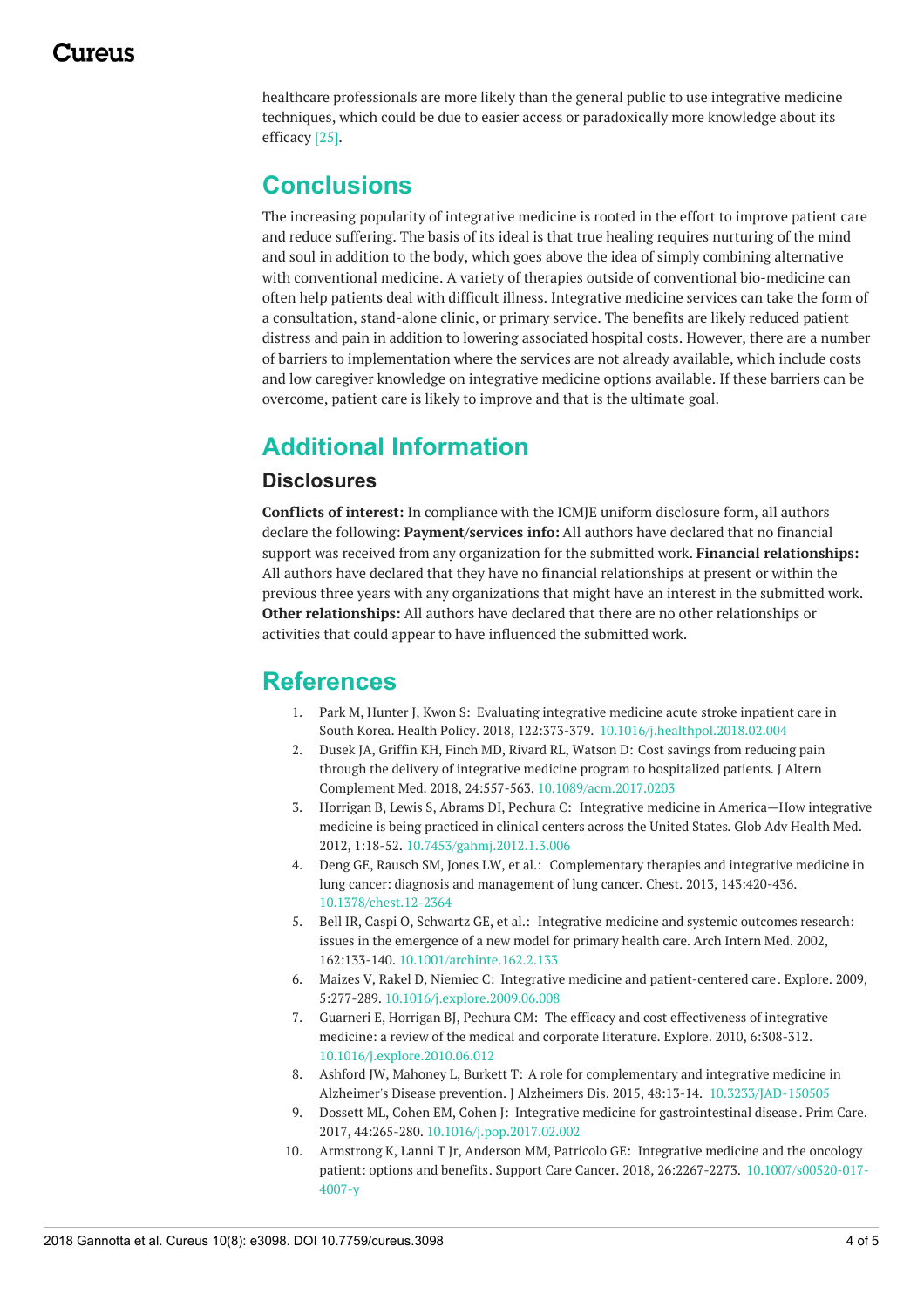healthcare professionals are more likely than the general public to use integrative medicine techniques, which could be due to easier access or paradoxically more knowledge about its efficacy [25].

# **Conclusions**

The increasing popularity of integrative medicine is rooted in the effort to improve patient care and reduce suffering. The basis of its ideal is that true healing requires nurturing of the mind and soul in addition to the body, which goes above the idea of simply combining alternative with conventional medicine. A variety of therapies outside of conventional bio-medicine can often help patients deal with difficult illness. Integrative medicine services can take the form of a consultation, stand-alone clinic, or primary service. The benefits are likely reduced patient distress and pain in addition to lowering associated hospital costs. However, there are a number of barriers to implementation where the services are not already available, which include costs and low caregiver knowledge on integrative medicine options available. If these barriers can be overcome, patient care is likely to improve and that is the ultimate goal.

# **Additional Information**

#### **Disclosures**

**Conflicts of interest:** In compliance with the ICMJE uniform disclosure form, all authors declare the following: **Payment/services info:** All authors have declared that no financial support was received from any organization for the submitted work. **Financial relationships:** All authors have declared that they have no financial relationships at present or within the previous three years with any organizations that might have an interest in the submitted work. **Other relationships:** All authors have declared that there are no other relationships or activities that could appear to have influenced the submitted work.

### **References**

- 1. Park M, Hunter J, Kwon S: Evaluating integrative medicine acute stroke inpatient care in South Korea. Health Policy. 2018, 122:373-379. [10.1016/j.healthpol.2018.02.004](https://dx.doi.org/10.1016/j.healthpol.2018.02.004)
- 2. Dusek JA, Griffin KH, Finch MD, Rivard RL, Watson D: Cost savings from reducing pain through the delivery of integrative medicine program to [hospitalized](https://dx.doi.org/10.1089/acm.2017.0203) patients. J Altern Complement Med. 2018, 24:557-563. [10.1089/acm.2017.0203](https://dx.doi.org/10.1089/acm.2017.0203)
- 3. Horrigan B, Lewis S, Abrams DI, Pechura C: Integrative medicine in [America—How](https://dx.doi.org/10.7453/gahmj.2012.1.3.006) integrative medicine is being practiced in clinical centers across the United States. Glob Adv Health Med. 2012, 1:18-52. [10.7453/gahmj.2012.1.3.006](https://dx.doi.org/10.7453/gahmj.2012.1.3.006)
- 4. Deng GE, Rausch SM, Jones LW, et al.: [Complementary](https://dx.doi.org/10.1378/chest.12-2364) therapies and integrative medicine in lung cancer: diagnosis and management of lung cancer. Chest. 2013, 143:420-436. [10.1378/chest.12-2364](https://dx.doi.org/10.1378/chest.12-2364)
- 5. Bell IR, Caspi O, Schwartz GE, et al.: [Integrative](https://dx.doi.org/10.1001/archinte.162.2.133) medicine and systemic outcomes research: issues in the emergence of a new model for primary health care. Arch Intern Med. 2002, 162:133-140. [10.1001/archinte.162.2.133](https://dx.doi.org/10.1001/archinte.162.2.133)
- 6. Maizes V, Rakel D, Niemiec C: Integrative medicine and [patient-centered](https://dx.doi.org/10.1016/j.explore.2009.06.008) care. Explore. 2009, 5:277-289. [10.1016/j.explore.2009.06.008](https://dx.doi.org/10.1016/j.explore.2009.06.008)
- 7. Guarneri E, Horrigan BJ, Pechura CM: The efficacy and cost [effectiveness](https://dx.doi.org/10.1016/j.explore.2010.06.012) of integrative medicine: a review of the medical and corporate literature. Explore. 2010, 6:308-312. [10.1016/j.explore.2010.06.012](https://dx.doi.org/10.1016/j.explore.2010.06.012)
- 8. Ashford JW, Mahoney L, Burkett T: A role for complementary and integrative medicine in Alzheimer's Disease prevention. J Alzheimers Dis. 2015, 48:13-14. [10.3233/JAD-150505](https://dx.doi.org/10.3233/JAD-150505)
- 9. Dossett ML, Cohen EM, Cohen J: Integrative medicine for [gastrointestinal](https://dx.doi.org/10.1016/j.pop.2017.02.002) disease . Prim Care. 2017, 44:265-280. [10.1016/j.pop.2017.02.002](https://dx.doi.org/10.1016/j.pop.2017.02.002)
- 10. Armstrong K, Lanni T Jr, Anderson MM, Patricolo GE: Integrative medicine and the oncology patient: options and benefits. Support Care Cancer. 2018, 26:2267-2273. [10.1007/s00520-017-](https://dx.doi.org/10.1007/s00520-017-4007-y) 4007-y